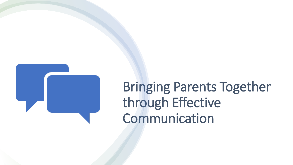

# Bringing Parents Together through Effective Communication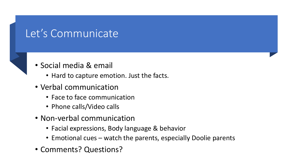# Let's Communicate

- Social media & email
	- Hard to capture emotion. Just the facts.
- Verbal communication
	- Face to face communication
	- Phone calls/Video calls
- Non-verbal communication
	- Facial expressions, Body language & behavior
	- Emotional cues watch the parents, especially Doolie parents
- Comments? Questions?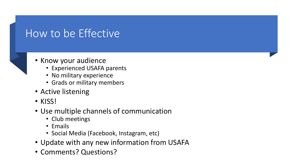# How to be Effective

- Know your audience
	- Experienced USAFA parents
	- No military experience
	- Grads or military members
- Active listening
- KISS!
- Use multiple channels of communication
	- Club meetings
	- Emails
	- Social Media (Facebook, Instagram, etc)
- Update with any new information from USAFA
- Comments? Questions?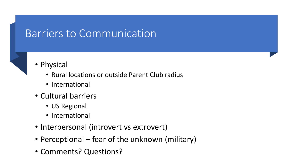# Barriers to Communication

- Physical
	- Rural locations or outside Parent Club radius
	- International
- Cultural barriers
	- US Regional
	- International
- Interpersonal (introvert vs extrovert)
- Perceptional fear of the unknown (military)
- Comments? Questions?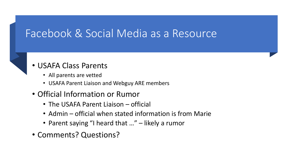## Facebook & Social Media as a Resource

#### • USAFA Class Parents

- All parents are vetted
- USAFA Parent Liaison and Webguy ARE members

#### • Official Information or Rumor

- The USAFA Parent Liaison official
- Admin official when stated information is from Marie
- Parent saying "I heard that ..." likely a rumor
- Comments? Questions?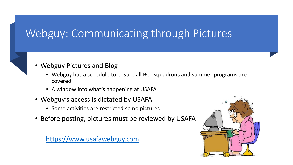# Webguy: Communicating through Pictures



- Webguy has a schedule to ensure all BCT squadrons and summer programs are covered
- A window into what's happening at USAFA
- Webguy's access is dictated by USAFA
	- Some activities are restricted so no pictures
- Before posting, pictures must be reviewed by USAFA

[https://www.usafawebguy.com](https://www.usafawebguy.com/)

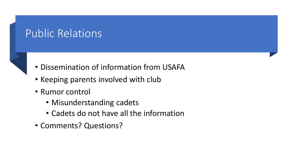# Public Relations

- Dissemination of information from USAFA
- Keeping parents involved with club
- Rumor control
	- Misunderstanding cadets
	- Cadets do not have all the information
- Comments? Questions?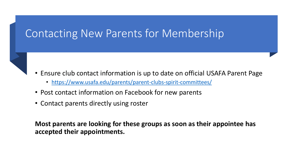## Contacting New Parents for Membership

- Ensure club contact information is up to date on official USAFA Parent Page
	- <https://www.usafa.edu/parents/parent-clubs-spirit-committees/>
- Post contact information on Facebook for new parents
- Contact parents directly using roster

**Most parents are looking for these groups as soon as their appointee has accepted their appointments.**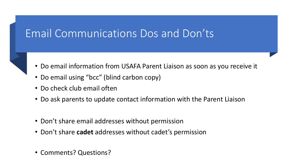# Email Communications Dos and Don'ts

- Do email information from USAFA Parent Liaison as soon as you receive it
- Do email using "bcc" (blind carbon copy)
- Do check club email often
- Do ask parents to update contact information with the Parent Liaison
- Don't share email addresses without permission
- Don't share **cadet** addresses without cadet's permission
- Comments? Questions?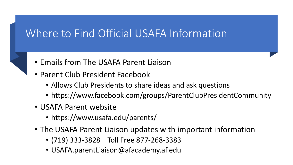# Where to Find Official USAFA Information



- Emails from The USAFA Parent Liaison
- Parent Club President Facebook
	- Allows Club Presidents to share ideas and ask questions
	- https://www.facebook.com/groups/ParentClubPresidentCommunity
- USAFA Parent website
	- https://www.usafa.edu/parents/
- The USAFA Parent Liaison updates with important information
	- (719) 333-3828 Toll Free 877-268-3383
	- USAFA.parentLiaison@afacademy.af.edu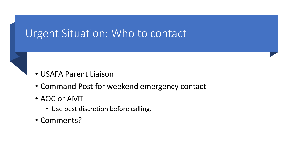#### Urgent Situation: Who to contact



- Command Post for weekend emergency contact
- AOC or AMT
	- Use best discretion before calling.
- Comments?